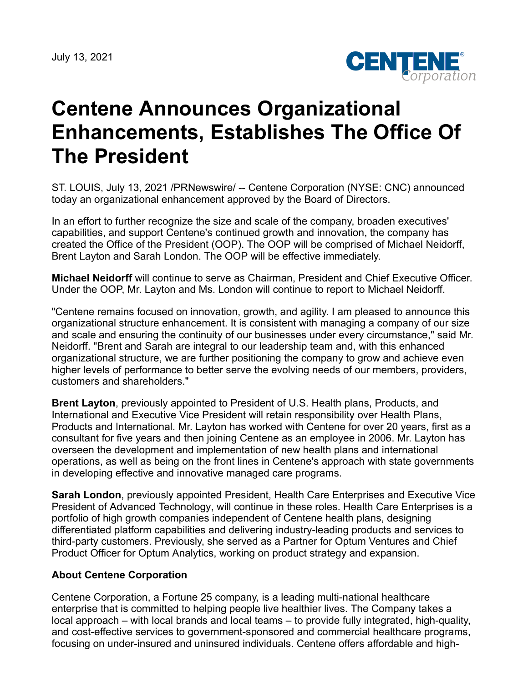

## **Centene Announces Organizational Enhancements, Establishes The Office Of The President**

ST. LOUIS, July 13, 2021 /PRNewswire/ -- Centene Corporation (NYSE: CNC) announced today an organizational enhancement approved by the Board of Directors.

In an effort to further recognize the size and scale of the company, broaden executives' capabilities, and support Centene's continued growth and innovation, the company has created the Office of the President (OOP). The OOP will be comprised of Michael Neidorff, Brent Layton and Sarah London. The OOP will be effective immediately.

**Michael Neidorff** will continue to serve as Chairman, President and Chief Executive Officer. Under the OOP, Mr. Layton and Ms. London will continue to report to Michael Neidorff.

"Centene remains focused on innovation, growth, and agility. I am pleased to announce this organizational structure enhancement. It is consistent with managing a company of our size and scale and ensuring the continuity of our businesses under every circumstance," said Mr. Neidorff. "Brent and Sarah are integral to our leadership team and, with this enhanced organizational structure, we are further positioning the company to grow and achieve even higher levels of performance to better serve the evolving needs of our members, providers, customers and shareholders."

**Brent Layton**, previously appointed to President of U.S. Health plans, Products, and International and Executive Vice President will retain responsibility over Health Plans, Products and International. Mr. Layton has worked with Centene for over 20 years, first as a consultant for five years and then joining Centene as an employee in 2006. Mr. Layton has overseen the development and implementation of new health plans and international operations, as well as being on the front lines in Centene's approach with state governments in developing effective and innovative managed care programs.

**Sarah London**, previously appointed President, Health Care Enterprises and Executive Vice President of Advanced Technology, will continue in these roles. Health Care Enterprises is a portfolio of high growth companies independent of Centene health plans, designing differentiated platform capabilities and delivering industry-leading products and services to third-party customers. Previously, she served as a Partner for Optum Ventures and Chief Product Officer for Optum Analytics, working on product strategy and expansion.

## **About Centene Corporation**

Centene Corporation, a Fortune 25 company, is a leading multi-national healthcare enterprise that is committed to helping people live healthier lives. The Company takes a local approach – with local brands and local teams – to provide fully integrated, high-quality, and cost-effective services to government-sponsored and commercial healthcare programs, focusing on under-insured and uninsured individuals. Centene offers affordable and high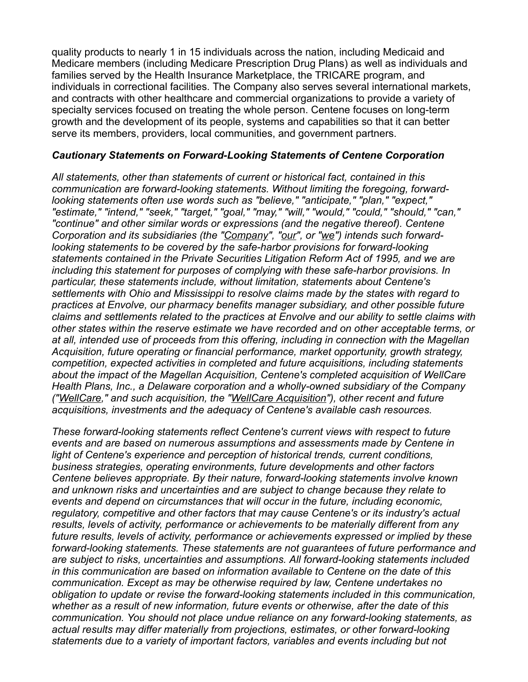quality products to nearly 1 in 15 individuals across the nation, including Medicaid and Medicare members (including Medicare Prescription Drug Plans) as well as individuals and families served by the Health Insurance Marketplace, the TRICARE program, and individuals in correctional facilities. The Company also serves several international markets, and contracts with other healthcare and commercial organizations to provide a variety of specialty services focused on treating the whole person. Centene focuses on long-term growth and the development of its people, systems and capabilities so that it can better serve its members, providers, local communities, and government partners.

## *Cautionary Statements on Forward-Looking Statements of Centene Corporation*

*All statements, other than statements of current or historical fact, contained in this communication are forward-looking statements. Without limiting the foregoing, forwardlooking statements often use words such as "believe," "anticipate," "plan," "expect," "estimate," "intend," "seek," "target," "goal," "may," "will," "would," "could," "should," "can," "continue" and other similar words or expressions (and the negative thereof). Centene Corporation and its subsidiaries (the "Company", "our", or "we") intends such forwardlooking statements to be covered by the safe-harbor provisions for forward-looking statements contained in the Private Securities Litigation Reform Act of 1995, and we are including this statement for purposes of complying with these safe-harbor provisions. In particular, these statements include, without limitation, statements about Centene's settlements with Ohio and Mississippi to resolve claims made by the states with regard to practices at Envolve, our pharmacy benefits manager subsidiary, and other possible future claims and settlements related to the practices at Envolve and our ability to settle claims with other states within the reserve estimate we have recorded and on other acceptable terms, or at all, intended use of proceeds from this offering, including in connection with the Magellan Acquisition, future operating or financial performance, market opportunity, growth strategy, competition, expected activities in completed and future acquisitions, including statements about the impact of the Magellan Acquisition, Centene's completed acquisition of WellCare Health Plans, Inc., a Delaware corporation and a wholly-owned subsidiary of the Company ("WellCare," and such acquisition, the "WellCare Acquisition"), other recent and future acquisitions, investments and the adequacy of Centene's available cash resources.*

*These forward-looking statements reflect Centene's current views with respect to future events and are based on numerous assumptions and assessments made by Centene in light of Centene's experience and perception of historical trends, current conditions, business strategies, operating environments, future developments and other factors Centene believes appropriate. By their nature, forward-looking statements involve known and unknown risks and uncertainties and are subject to change because they relate to events and depend on circumstances that will occur in the future, including economic, regulatory, competitive and other factors that may cause Centene's or its industry's actual results, levels of activity, performance or achievements to be materially different from any future results, levels of activity, performance or achievements expressed or implied by these forward-looking statements. These statements are not guarantees of future performance and are subject to risks, uncertainties and assumptions. All forward-looking statements included in this communication are based on information available to Centene on the date of this communication. Except as may be otherwise required by law, Centene undertakes no obligation to update or revise the forward-looking statements included in this communication, whether as a result of new information, future events or otherwise, after the date of this communication. You should not place undue reliance on any forward-looking statements, as actual results may differ materially from projections, estimates, or other forward-looking statements due to a variety of important factors, variables and events including but not*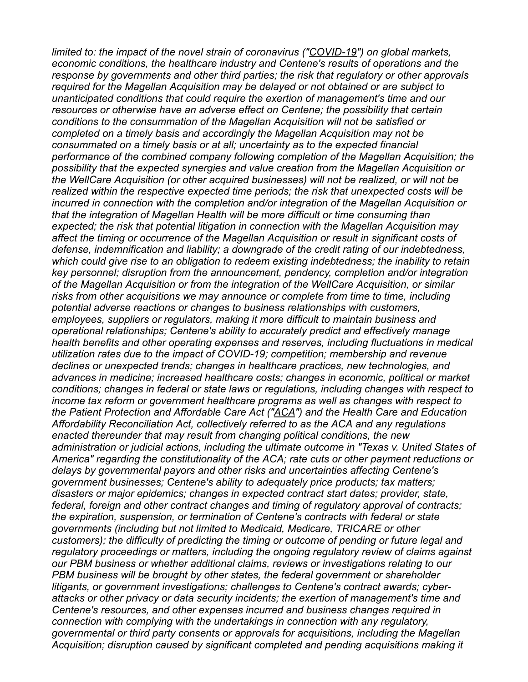*limited to: the impact of the novel strain of coronavirus ("COVID-19") on global markets, economic conditions, the healthcare industry and Centene's results of operations and the response by governments and other third parties; the risk that regulatory or other approvals required for the Magellan Acquisition may be delayed or not obtained or are subject to unanticipated conditions that could require the exertion of management's time and our resources or otherwise have an adverse effect on Centene; the possibility that certain conditions to the consummation of the Magellan Acquisition will not be satisfied or completed on a timely basis and accordingly the Magellan Acquisition may not be consummated on a timely basis or at all; uncertainty as to the expected financial performance of the combined company following completion of the Magellan Acquisition; the possibility that the expected synergies and value creation from the Magellan Acquisition or the WellCare Acquisition (or other acquired businesses) will not be realized, or will not be realized within the respective expected time periods; the risk that unexpected costs will be incurred in connection with the completion and/or integration of the Magellan Acquisition or that the integration of Magellan Health will be more difficult or time consuming than expected; the risk that potential litigation in connection with the Magellan Acquisition may affect the timing or occurrence of the Magellan Acquisition or result in significant costs of defense, indemnification and liability; a downgrade of the credit rating of our indebtedness, which could give rise to an obligation to redeem existing indebtedness; the inability to retain key personnel; disruption from the announcement, pendency, completion and/or integration of the Magellan Acquisition or from the integration of the WellCare Acquisition, or similar risks from other acquisitions we may announce or complete from time to time, including potential adverse reactions or changes to business relationships with customers, employees, suppliers or regulators, making it more difficult to maintain business and operational relationships; Centene's ability to accurately predict and effectively manage health benefits and other operating expenses and reserves, including fluctuations in medical utilization rates due to the impact of COVID-19; competition; membership and revenue declines or unexpected trends; changes in healthcare practices, new technologies, and advances in medicine; increased healthcare costs; changes in economic, political or market conditions; changes in federal or state laws or regulations, including changes with respect to income tax reform or government healthcare programs as well as changes with respect to the Patient Protection and Affordable Care Act ("ACA") and the Health Care and Education Affordability Reconciliation Act, collectively referred to as the ACA and any regulations enacted thereunder that may result from changing political conditions, the new administration or judicial actions, including the ultimate outcome in "Texas v. United States of America" regarding the constitutionality of the ACA; rate cuts or other payment reductions or delays by governmental payors and other risks and uncertainties affecting Centene's government businesses; Centene's ability to adequately price products; tax matters; disasters or major epidemics; changes in expected contract start dates; provider, state, federal, foreign and other contract changes and timing of regulatory approval of contracts; the expiration, suspension, or termination of Centene's contracts with federal or state governments (including but not limited to Medicaid, Medicare, TRICARE or other customers); the difficulty of predicting the timing or outcome of pending or future legal and regulatory proceedings or matters, including the ongoing regulatory review of claims against our PBM business or whether additional claims, reviews or investigations relating to our PBM business will be brought by other states, the federal government or shareholder litigants, or government investigations; challenges to Centene's contract awards; cyberattacks or other privacy or data security incidents; the exertion of management's time and Centene's resources, and other expenses incurred and business changes required in connection with complying with the undertakings in connection with any regulatory, governmental or third party consents or approvals for acquisitions, including the Magellan Acquisition; disruption caused by significant completed and pending acquisitions making it*